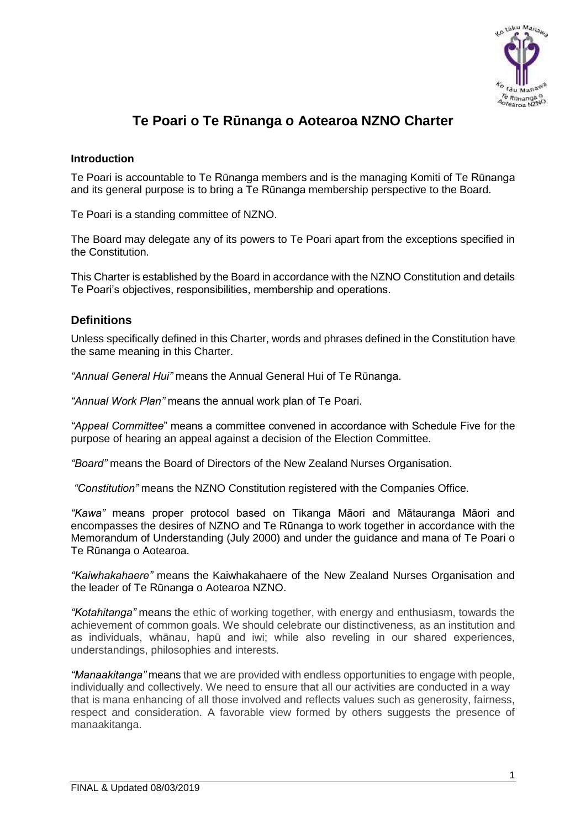

# **Te Poari o Te Rūnanga o Aotearoa NZNO Charter**

## **Introduction**

Te Poari is accountable to Te Rūnanga members and is the managing Komiti of Te Rūnanga and its general purpose is to bring a Te Rūnanga membership perspective to the Board.

Te Poari is a standing committee of NZNO.

The Board may delegate any of its powers to Te Poari apart from the exceptions specified in the Constitution.

This Charter is established by the Board in accordance with the NZNO Constitution and details Te Poari's objectives, responsibilities, membership and operations.

## **Definitions**

Unless specifically defined in this Charter, words and phrases defined in the Constitution have the same meaning in this Charter.

*"Annual General Hui"* means the Annual General Hui of Te Rūnanga.

*"Annual Work Plan"* means the annual work plan of Te Poari.

*"Appeal Committee*" means a committee convened in accordance with Schedule Five for the purpose of hearing an appeal against a decision of the Election Committee.

*"Board"* means the Board of Directors of the New Zealand Nurses Organisation.

*"Constitution"* means the NZNO Constitution registered with the Companies Office.

*"Kawa"* means proper protocol based on Tikanga Māori and Mātauranga Māori and encompasses the desires of NZNO and Te Rūnanga to work together in accordance with the Memorandum of Understanding (July 2000) and under the guidance and mana of Te Poari o Te Rūnanga o Aotearoa.

*"Kaiwhakahaere"* means the Kaiwhakahaere of the New Zealand Nurses Organisation and the leader of Te Rūnanga o Aotearoa NZNO.

*"Kotahitanga"* means the ethic of working together, with energy and enthusiasm, towards the achievement of common goals. We should celebrate our distinctiveness, as an institution and as individuals, whānau, hapū and iwi; while also reveling in our shared experiences, understandings, philosophies and interests.

*"Manaakitanga"* means that we are provided with endless opportunities to engage with people, individually and collectively. We need to ensure that all our activities are conducted in a way that is mana enhancing of all those involved and reflects values such as generosity, fairness, respect and consideration. A favorable view formed by others suggests the presence of manaakitanga.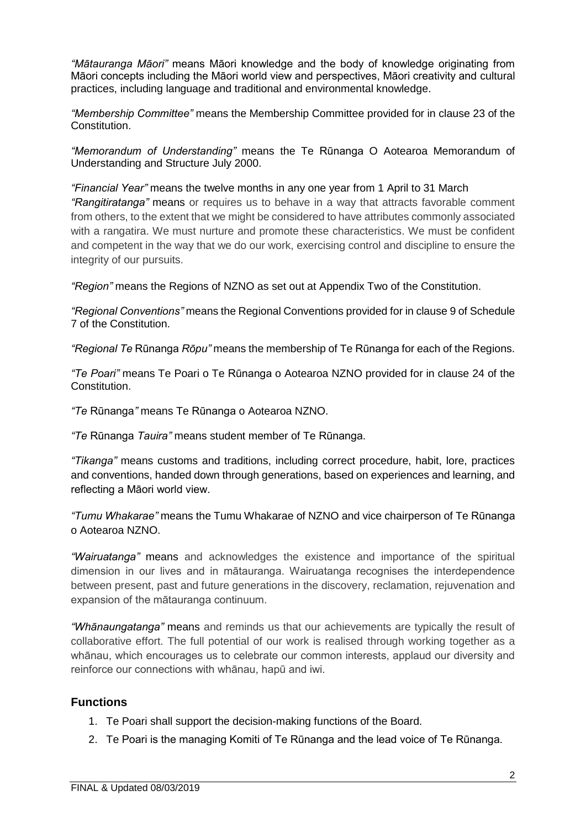*"Mātauranga Māori"* means Māori knowledge and the body of knowledge originating from Māori concepts including the Māori world view and perspectives, Māori creativity and cultural practices, including language and traditional and environmental knowledge.

*"Membership Committee"* means the Membership Committee provided for in clause 23 of the Constitution.

*"Memorandum of Understanding"* means the Te Rūnanga O Aotearoa Memorandum of Understanding and Structure July 2000.

*"Financial Year"* means the twelve months in any one year from 1 April to 31 March *"Rangitiratanga"* means or requires us to behave in a way that attracts favorable comment from others, to the extent that we might be considered to have attributes commonly associated with a rangatira. We must nurture and promote these characteristics. We must be confident and competent in the way that we do our work, exercising control and discipline to ensure the

*"Region"* means the Regions of NZNO as set out at Appendix Two of the Constitution.

*"Regional Conventions"* means the Regional Conventions provided for in clause 9 of Schedule 7 of the Constitution.

*"Regional Te* Rūnanga *Rōpu"* means the membership of Te Rūnanga for each of the Regions.

*"Te Poari"* means Te Poari o Te Rūnanga o Aotearoa NZNO provided for in clause 24 of the Constitution.

*"Te* Rūnanga*"* means Te Rūnanga o Aotearoa NZNO.

integrity of our pursuits.

*"Te* Rūnanga *Tauira"* means student member of Te Rūnanga.

*"Tikanga"* means customs and traditions, including correct procedure, habit, lore, practices and conventions, handed down through generations, based on experiences and learning, and reflecting a Māori world view.

*"Tumu Whakarae"* means the Tumu Whakarae of NZNO and vice chairperson of Te Rūnanga o Aotearoa NZNO.

*"Wairuatanga"* means and acknowledges the existence and importance of the spiritual dimension in our lives and in mātauranga. Wairuatanga recognises the interdependence between present, past and future generations in the discovery, reclamation, rejuvenation and expansion of the mātauranga continuum.

*"Whānaungatanga"* means and reminds us that our achievements are typically the result of collaborative effort. The full potential of our work is realised through working together as a whānau, which encourages us to celebrate our common interests, applaud our diversity and reinforce our connections with whānau, hapū and iwi.

## **Functions**

- 1. Te Poari shall support the decision-making functions of the Board.
- 2. Te Poari is the managing Komiti of Te Rūnanga and the lead voice of Te Rūnanga.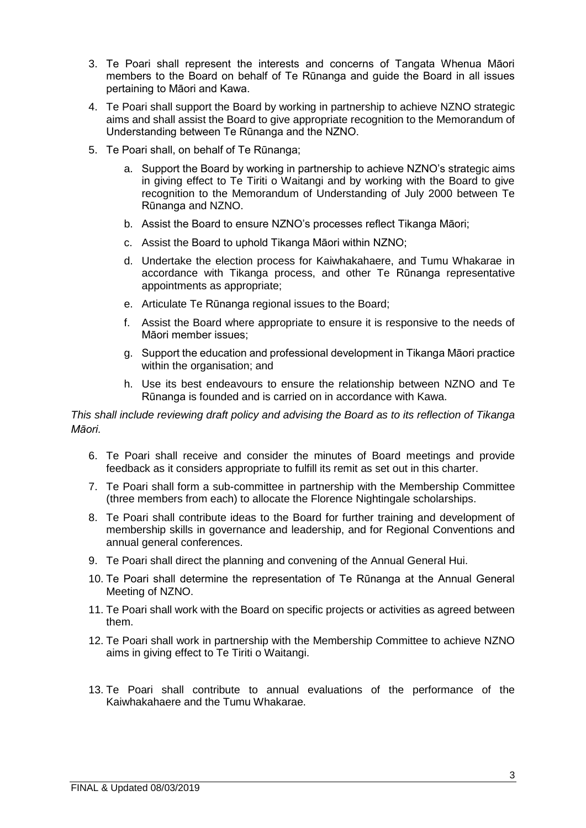- 3. Te Poari shall represent the interests and concerns of Tangata Whenua Māori members to the Board on behalf of Te Rūnanga and guide the Board in all issues pertaining to Māori and Kawa.
- 4. Te Poari shall support the Board by working in partnership to achieve NZNO strategic aims and shall assist the Board to give appropriate recognition to the Memorandum of Understanding between Te Rūnanga and the NZNO.
- 5. Te Poari shall, on behalf of Te Rūnanga;
	- a. Support the Board by working in partnership to achieve NZNO's strategic aims in giving effect to Te Tiriti o Waitangi and by working with the Board to give recognition to the Memorandum of Understanding of July 2000 between Te Rūnanga and NZNO.
	- b. Assist the Board to ensure NZNO's processes reflect Tikanga Māori;
	- c. Assist the Board to uphold Tikanga Māori within NZNO;
	- d. Undertake the election process for Kaiwhakahaere, and Tumu Whakarae in accordance with Tikanga process, and other Te Rūnanga representative appointments as appropriate;
	- e. Articulate Te Rūnanga regional issues to the Board;
	- f. Assist the Board where appropriate to ensure it is responsive to the needs of Māori member issues;
	- g. Support the education and professional development in Tikanga Māori practice within the organisation; and
	- h. Use its best endeavours to ensure the relationship between NZNO and Te Rūnanga is founded and is carried on in accordance with Kawa.

*This shall include reviewing draft policy and advising the Board as to its reflection of Tikanga Māori.*

- 6. Te Poari shall receive and consider the minutes of Board meetings and provide feedback as it considers appropriate to fulfill its remit as set out in this charter.
- 7. Te Poari shall form a sub-committee in partnership with the Membership Committee (three members from each) to allocate the Florence Nightingale scholarships.
- 8. Te Poari shall contribute ideas to the Board for further training and development of membership skills in governance and leadership, and for Regional Conventions and annual general conferences.
- 9. Te Poari shall direct the planning and convening of the Annual General Hui.
- 10. Te Poari shall determine the representation of Te Rūnanga at the Annual General Meeting of NZNO.
- 11. Te Poari shall work with the Board on specific projects or activities as agreed between them.
- 12. Te Poari shall work in partnership with the Membership Committee to achieve NZNO aims in giving effect to Te Tiriti o Waitangi.
- 13. Te Poari shall contribute to annual evaluations of the performance of the Kaiwhakahaere and the Tumu Whakarae.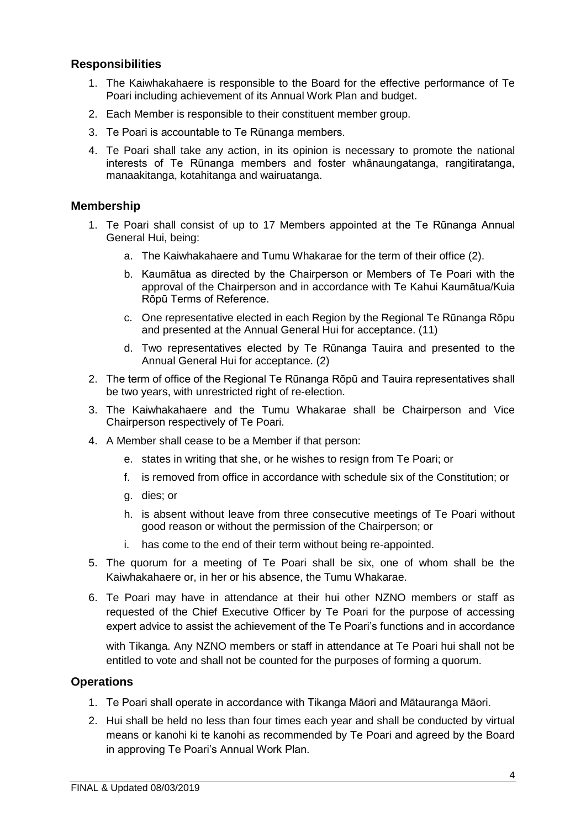# **Responsibilities**

- 1. The Kaiwhakahaere is responsible to the Board for the effective performance of Te Poari including achievement of its Annual Work Plan and budget.
- 2. Each Member is responsible to their constituent member group.
- 3. Te Poari is accountable to Te Rūnanga members.
- 4. Te Poari shall take any action, in its opinion is necessary to promote the national interests of Te Rūnanga members and foster whānaungatanga, rangitiratanga, manaakitanga, kotahitanga and wairuatanga.

## **Membership**

- 1. Te Poari shall consist of up to 17 Members appointed at the Te Rūnanga Annual General Hui, being:
	- a. The Kaiwhakahaere and Tumu Whakarae for the term of their office (2).
	- b. Kaumātua as directed by the Chairperson or Members of Te Poari with the approval of the Chairperson and in accordance with Te Kahui Kaumātua/Kuia Rōpū Terms of Reference.
	- c. One representative elected in each Region by the Regional Te Rūnanga Rōpu and presented at the Annual General Hui for acceptance. (11)
	- d. Two representatives elected by Te Rūnanga Tauira and presented to the Annual General Hui for acceptance. (2)
- 2. The term of office of the Regional Te Rūnanga Rōpū and Tauira representatives shall be two years, with unrestricted right of re-election.
- 3. The Kaiwhakahaere and the Tumu Whakarae shall be Chairperson and Vice Chairperson respectively of Te Poari.
- 4. A Member shall cease to be a Member if that person:
	- e. states in writing that she, or he wishes to resign from Te Poari; or
	- f. is removed from office in accordance with schedule six of the Constitution; or
	- g. dies; or
	- h. is absent without leave from three consecutive meetings of Te Poari without good reason or without the permission of the Chairperson; or
	- i. has come to the end of their term without being re-appointed.
- 5. The quorum for a meeting of Te Poari shall be six, one of whom shall be the Kaiwhakahaere or, in her or his absence, the Tumu Whakarae.
- 6. Te Poari may have in attendance at their hui other NZNO members or staff as requested of the Chief Executive Officer by Te Poari for the purpose of accessing expert advice to assist the achievement of the Te Poari's functions and in accordance

with Tikanga. Any NZNO members or staff in attendance at Te Poari hui shall not be entitled to vote and shall not be counted for the purposes of forming a quorum.

## **Operations**

- 1. Te Poari shall operate in accordance with Tikanga Māori and Mātauranga Māori.
- 2. Hui shall be held no less than four times each year and shall be conducted by virtual means or kanohi ki te kanohi as recommended by Te Poari and agreed by the Board in approving Te Poari's Annual Work Plan.